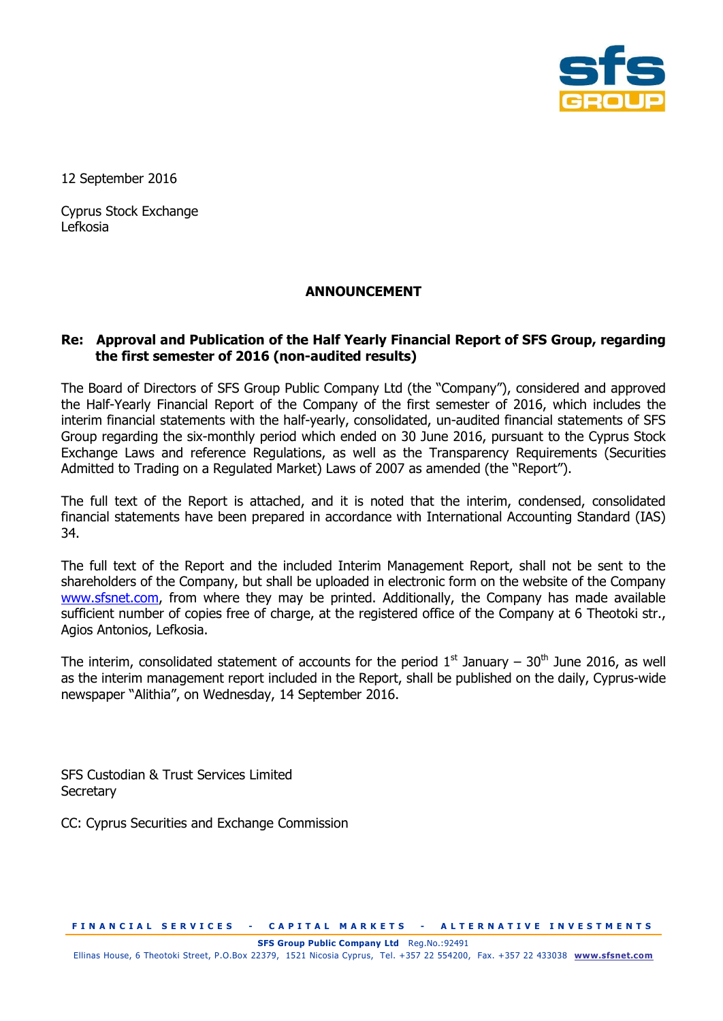

12 September 2016

Cyprus Stock Exchange Lefkosia

## **ANNOUNCEMENT**

## **Re: Approval and Publication of the Half Yearly Financial Report of SFS Group, regarding the first semester of 2016 (non-audited results)**

The Board of Directors of SFS Group Public Company Ltd (the "Company"), considered and approved the Half-Yearly Financial Report of the Company of the first semester of 2016, which includes the interim financial statements with the half-yearly, consolidated, un-audited financial statements of SFS Group regarding the six-monthly period which ended on 30 June 2016, pursuant to the Cyprus Stock Exchange Laws and reference Regulations, as well as the Transparency Requirements (Securities Admitted to Trading on a Regulated Market) Laws of 2007 as amended (the "Report").

The full text of the Report is attached, and it is noted that the interim, condensed, consolidated financial statements have been prepared in accordance with International Accounting Standard (IAS) 34.

The full text of the Report and the included Interim Management Report, shall not be sent to the shareholders of the Company, but shall be uploaded in electronic form on the website of the Company [www.sfsnet.com,](http://www.sfsnet.com/) from where they may be printed. Additionally, the Company has made available sufficient number of copies free of charge, at the registered office of the Company at 6 Theotoki str., Agios Antonios, Lefkosia.

The interim, consolidated statement of accounts for the period  $1<sup>st</sup>$  January – 30<sup>th</sup> June 2016, as well as the interim management report included in the Report, shall be published on the daily, Cyprus-wide newspaper "Alithia", on Wednesday, 14 September 2016.

SFS Custodian & Trust Services Limited **Secretary** 

CC: Cyprus Securities and Exchange Commission

**FINANCIAL SERVICES - CAPITAL MARKETS - ALTERNATIVE INVESTMENTS** 

**SFS Group Public Company Ltd** Reg.No.:92491

Ellinas House, 6 Theotoki Street, P.O.Box 22379, 1521 Nicosia Cyprus, Tel. +357 22 554200, Fax. +357 22 433038 **[www.sfsnet.com](http://www.sfsnet.com/)**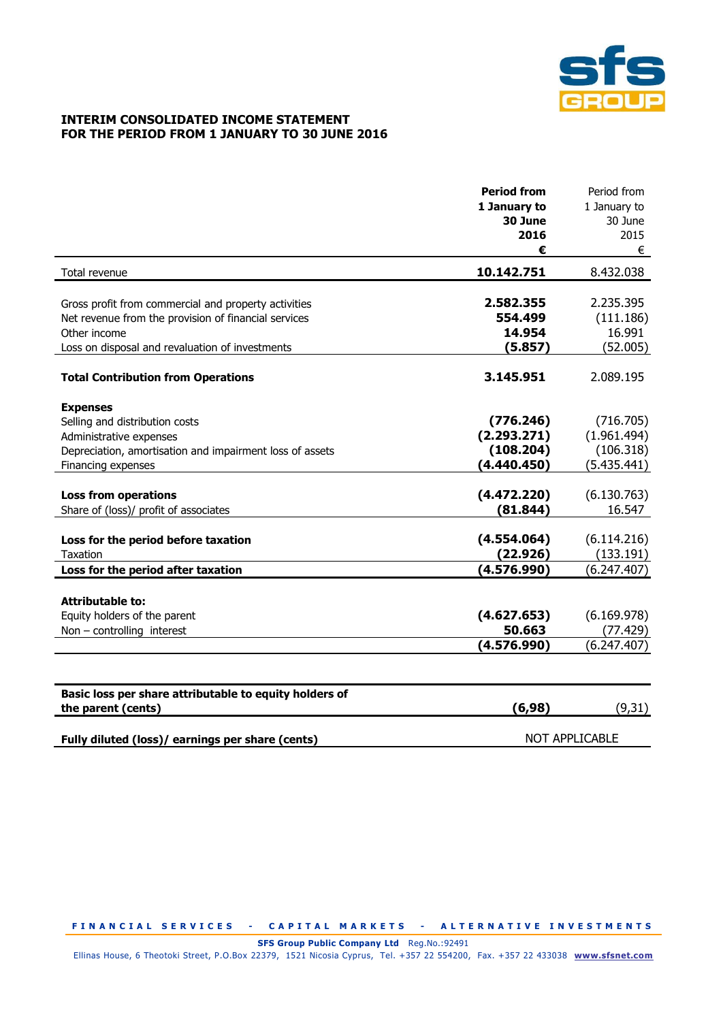

## **INTERIM CONSOLIDATED INCOME STATEMENT FOR THE PERIOD FROM 1 JANUARY TO 30 JUNE 2016**

|                                                          | <b>Period from</b>    | Period from  |
|----------------------------------------------------------|-----------------------|--------------|
|                                                          | 1 January to          | 1 January to |
|                                                          | 30 June               | 30 June      |
|                                                          | 2016                  | 2015         |
|                                                          | €                     | €            |
| Total revenue                                            | 10.142.751            | 8.432.038    |
|                                                          |                       |              |
| Gross profit from commercial and property activities     | 2.582.355             | 2.235.395    |
| Net revenue from the provision of financial services     | 554.499               | (111.186)    |
| Other income                                             | 14.954                | 16.991       |
| Loss on disposal and revaluation of investments          | (5.857)               | (52.005)     |
| <b>Total Contribution from Operations</b>                | 3.145.951             | 2.089.195    |
| <b>Expenses</b>                                          |                       |              |
| Selling and distribution costs                           | (776.246)             | (716.705)    |
| Administrative expenses                                  | (2.293.271)           | (1.961.494)  |
| Depreciation, amortisation and impairment loss of assets | (108.204)             | (106.318)    |
| Financing expenses                                       | (4.440.450)           | (5.435.441)  |
|                                                          |                       |              |
| <b>Loss from operations</b>                              | (4.472.220)           | (6.130.763)  |
| Share of (loss)/ profit of associates                    | (81.844)              | 16.547       |
|                                                          |                       |              |
| Loss for the period before taxation                      | (4.554.064)           | (6.114.216)  |
| <b>Taxation</b>                                          | (22.926)              | (133.191)    |
| Loss for the period after taxation                       | (4.576.990)           | (6.247.407)  |
| <b>Attributable to:</b>                                  |                       |              |
| Equity holders of the parent                             | (4.627.653)           | (6.169.978)  |
| Non - controlling interest                               | 50.663                | (77.429)     |
|                                                          | (4.576.990)           | (6.247.407)  |
|                                                          |                       |              |
| Basic loss per share attributable to equity holders of   |                       |              |
| the parent (cents)                                       | (6, 98)               | (9, 31)      |
|                                                          |                       |              |
| Fully diluted (loss)/ earnings per share (cents)         | <b>NOT APPLICABLE</b> |              |

**FINANCIAL SERVICES - CAPITAL MARKETS - ALTERNATIVE INVESTMENTS** 

**SFS Group Public Company Ltd** Reg.No.:92491

Ellinas House, 6 Theotoki Street, P.O.Box 22379, 1521 Nicosia Cyprus, Tel. +357 22 554200, Fax. +357 22 433038 **[www.sfsnet.com](http://www.sfsnet.com/)**